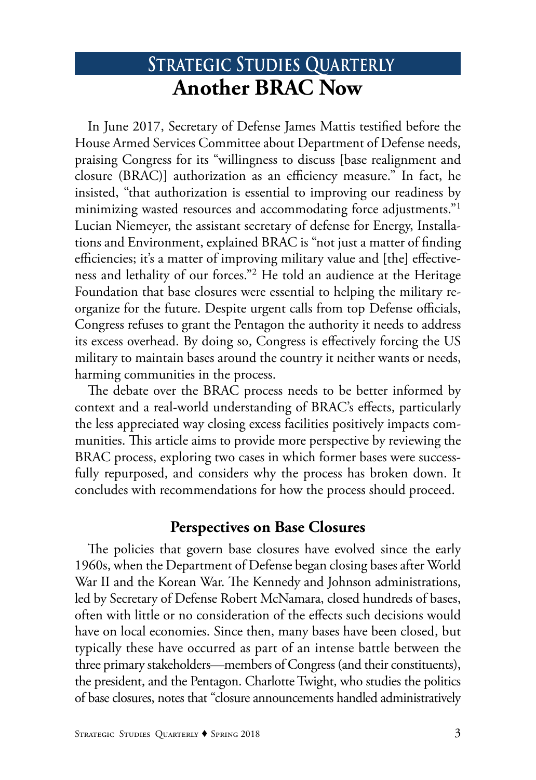# **STRATEGIC STUDIES QUARTERLY Another BRAC Now**

In June 2017, Secretary of Defense James Mattis testified before the House Armed Services Committee about Department of Defense needs, praising Congress for its "willingness to discuss [base realignment and closure (BRAC)] authorization as an efficiency measure." In fact, he insisted, "that authorization is essential to improving our readiness by minimizing wasted resources and accommodating force adjustments."1 Lucian Niemeyer, the assistant secretary of defense for Energy, Installations and Environment, explained BRAC is "not just a matter of finding efficiencies; it's a matter of improving military value and [the] effectiveness and lethality of our forces."2 He told an audience at the Heritage Foundation that base closures were essential to helping the military reorganize for the future. Despite urgent calls from top Defense officials, Congress refuses to grant the Pentagon the authority it needs to address its excess overhead. By doing so, Congress is effectively forcing the US military to maintain bases around the country it neither wants or needs, harming communities in the process.

The debate over the BRAC process needs to be better informed by context and a real-world understanding of BRAC's effects, particularly the less appreciated way closing excess facilities positively impacts communities. This article aims to provide more perspective by reviewing the BRAC process, exploring two cases in which former bases were successfully repurposed, and considers why the process has broken down. It concludes with recommendations for how the process should proceed.

# **Perspectives on Base Closures**

The policies that govern base closures have evolved since the early 1960s, when the Department of Defense began closing bases after World War II and the Korean War. The Kennedy and Johnson administrations, led by Secretary of Defense Robert McNamara, closed hundreds of bases, often with little or no consideration of the effects such decisions would have on local economies. Since then, many bases have been closed, but typically these have occurred as part of an intense battle between the three primary stakeholders—members of Congress (and their constituents), the president, and the Pentagon. Charlotte Twight, who studies the politics of base closures, notes that "closure announcements handled administratively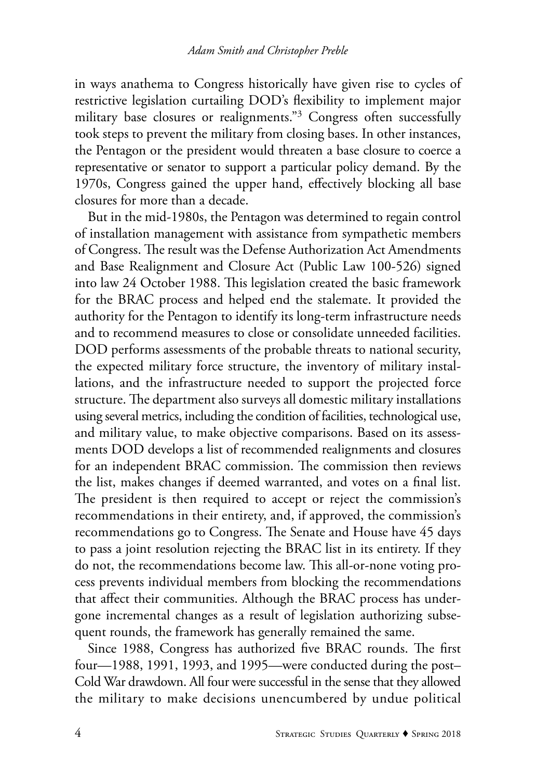in ways anathema to Congress historically have given rise to cycles of restrictive legislation curtailing DOD's flexibility to implement major military base closures or realignments."3 Congress often successfully took steps to prevent the military from closing bases. In other instances, the Pentagon or the president would threaten a base closure to coerce a representative or senator to support a particular policy demand. By the 1970s, Congress gained the upper hand, effectively blocking all base closures for more than a decade.

But in the mid-1980s, the Pentagon was determined to regain control of installation management with assistance from sympathetic members of Congress. The result was the Defense Authorization Act Amendments and Base Realignment and Closure Act (Public Law 100-526) signed into law 24 October 1988. This legislation created the basic framework for the BRAC process and helped end the stalemate. It provided the authority for the Pentagon to identify its long-term infrastructure needs and to recommend measures to close or consolidate unneeded facilities. DOD performs assessments of the probable threats to national security, the expected military force structure, the inventory of military installations, and the infrastructure needed to support the projected force structure. The department also surveys all domestic military installations using several metrics, including the condition of facilities, technological use, and military value, to make objective comparisons. Based on its assessments DOD develops a list of recommended realignments and closures for an independent BRAC commission. The commission then reviews the list, makes changes if deemed warranted, and votes on a final list. The president is then required to accept or reject the commission's recommendations in their entirety, and, if approved, the commission's recommendations go to Congress. The Senate and House have 45 days to pass a joint resolution rejecting the BRAC list in its entirety. If they do not, the recommendations become law. This all-or-none voting process prevents individual members from blocking the recommendations that affect their communities. Although the BRAC process has undergone incremental changes as a result of legislation authorizing subsequent rounds, the framework has generally remained the same.

Since 1988, Congress has authorized five BRAC rounds. The first four—1988, 1991, 1993, and 1995—were conducted during the post– Cold War drawdown. All four were successful in the sense that they allowed the military to make decisions unencumbered by undue political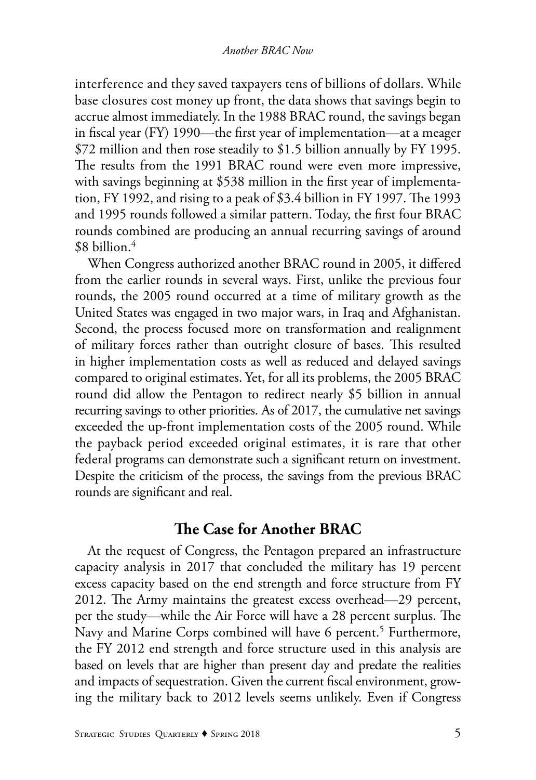interference and they saved taxpayers tens of billions of dollars. While base closures cost money up front, the data shows that savings begin to accrue almost immediately. In the 1988 BRAC round, the savings began in fiscal year (FY) 1990—the first year of implementation—at a meager \$72 million and then rose steadily to \$1.5 billion annually by FY 1995. The results from the 1991 BRAC round were even more impressive, with savings beginning at \$538 million in the first year of implementation, FY 1992, and rising to a peak of \$3.4 billion in FY 1997. The 1993 and 1995 rounds followed a similar pattern. Today, the first four BRAC rounds combined are producing an annual recurring savings of around  $$8$  billion.<sup>4</sup>

When Congress authorized another BRAC round in 2005, it differed from the earlier rounds in several ways. First, unlike the previous four rounds, the 2005 round occurred at a time of military growth as the United States was engaged in two major wars, in Iraq and Afghanistan. Second, the process focused more on transformation and realignment of military forces rather than outright closure of bases. This resulted in higher implementation costs as well as reduced and delayed savings compared to original estimates. Yet, for all its problems, the 2005 BRAC round did allow the Pentagon to redirect nearly \$5 billion in annual recurring savings to other priorities. As of 2017, the cumulative net savings exceeded the up-front implementation costs of the 2005 round. While the payback period exceeded original estimates, it is rare that other federal programs can demonstrate such a significant return on investment. Despite the criticism of the process, the savings from the previous BRAC rounds are significant and real.

#### **The Case for Another BRAC**

At the request of Congress, the Pentagon prepared an infrastructure capacity analysis in 2017 that concluded the military has 19 percent excess capacity based on the end strength and force structure from FY 2012. The Army maintains the greatest excess overhead—29 percent, per the study—while the Air Force will have a 28 percent surplus. The Navy and Marine Corps combined will have 6 percent.<sup>5</sup> Furthermore, the FY 2012 end strength and force structure used in this analysis are based on levels that are higher than present day and predate the realities and impacts of sequestration. Given the current fiscal environment, growing the military back to 2012 levels seems unlikely. Even if Congress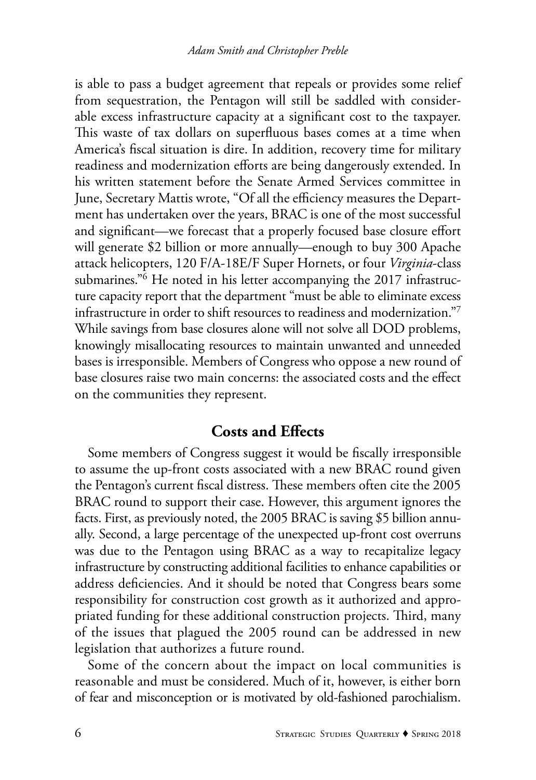is able to pass a budget agreement that repeals or provides some relief from sequestration, the Pentagon will still be saddled with considerable excess infrastructure capacity at a significant cost to the taxpayer. This waste of tax dollars on superfluous bases comes at a time when America's fiscal situation is dire. In addition, recovery time for military readiness and modernization efforts are being dangerously extended. In his written statement before the Senate Armed Services committee in June, Secretary Mattis wrote, "Of all the efficiency measures the Department has undertaken over the years, BRAC is one of the most successful and significant—we forecast that a properly focused base closure effort will generate \$2 billion or more annually—enough to buy 300 Apache attack helicopters, 120 F/A-18E/F Super Hornets, or four *Virginia*-class submarines."6 He noted in his letter accompanying the 2017 infrastructure capacity report that the department "must be able to eliminate excess infrastructure in order to shift resources to readiness and modernization."7 While savings from base closures alone will not solve all DOD problems, knowingly misallocating resources to maintain unwanted and unneeded bases is irresponsible. Members of Congress who oppose a new round of base closures raise two main concerns: the associated costs and the effect on the communities they represent.

## **Costs and Effects**

Some members of Congress suggest it would be fiscally irresponsible to assume the up-front costs associated with a new BRAC round given the Pentagon's current fiscal distress. These members often cite the 2005 BRAC round to support their case. However, this argument ignores the facts. First, as previously noted, the 2005 BRAC is saving \$5 billion annually. Second, a large percentage of the unexpected up-front cost overruns was due to the Pentagon using BRAC as a way to recapitalize legacy infrastructure by constructing additional facilities to enhance capabilities or address deficiencies. And it should be noted that Congress bears some responsibility for construction cost growth as it authorized and appropriated funding for these additional construction projects. Third, many of the issues that plagued the 2005 round can be addressed in new legislation that authorizes a future round.

Some of the concern about the impact on local communities is reasonable and must be considered. Much of it, however, is either born of fear and misconception or is motivated by old-fashioned parochialism.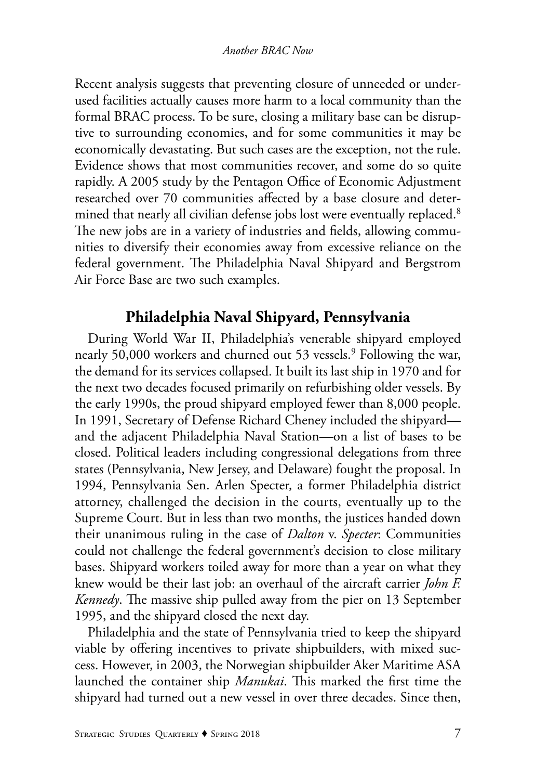Recent analysis suggests that preventing closure of unneeded or underused facilities actually causes more harm to a local community than the formal BRAC process. To be sure, closing a military base can be disruptive to surrounding economies, and for some communities it may be economically devastating. But such cases are the exception, not the rule. Evidence shows that most communities recover, and some do so quite rapidly. A 2005 study by the Pentagon Office of Economic Adjustment researched over 70 communities affected by a base closure and determined that nearly all civilian defense jobs lost were eventually replaced.<sup>8</sup> The new jobs are in a variety of industries and fields, allowing communities to diversify their economies away from excessive reliance on the federal government. The Philadelphia Naval Shipyard and Bergstrom Air Force Base are two such examples.

# **Philadelphia Naval Shipyard, Pennsylvania**

During World War II, Philadelphia's venerable shipyard employed nearly 50,000 workers and churned out 53 vessels.<sup>9</sup> Following the war, the demand for its services collapsed. It built its last ship in 1970 and for the next two decades focused primarily on refurbishing older vessels. By the early 1990s, the proud shipyard employed fewer than 8,000 people. In 1991, Secretary of Defense Richard Cheney included the shipyard and the adjacent Philadelphia Naval Station—on a list of bases to be closed. Political leaders including congressional delegations from three states (Pennsylvania, New Jersey, and Delaware) fought the proposal. In 1994, Pennsylvania Sen. Arlen Specter, a former Philadelphia district attorney, challenged the decision in the courts, eventually up to the Supreme Court. But in less than two months, the justices handed down their unanimous ruling in the case of *Dalton* v. *Specter*: Communities could not challenge the federal government's decision to close military bases. Shipyard workers toiled away for more than a year on what they knew would be their last job: an overhaul of the aircraft carrier *John F. Kennedy*. The massive ship pulled away from the pier on 13 September 1995, and the shipyard closed the next day.

Philadelphia and the state of Pennsylvania tried to keep the shipyard viable by offering incentives to private shipbuilders, with mixed success. However, in 2003, the Norwegian shipbuilder Aker Maritime ASA launched the container ship *Manukai*. This marked the first time the shipyard had turned out a new vessel in over three decades. Since then,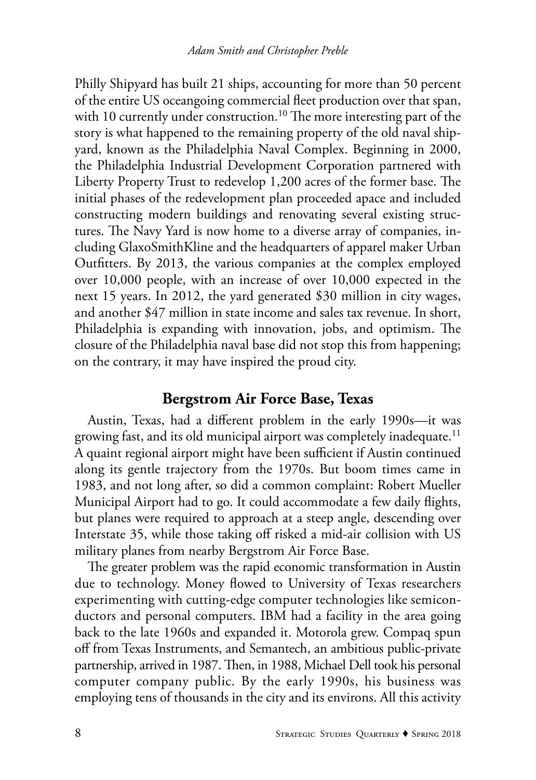Philly Shipyard has built 21 ships, accounting for more than 50 percent of the entire US oceangoing commercial fleet production over that span, with 10 currently under construction.<sup>10</sup> The more interesting part of the story is what happened to the remaining property of the old naval shipyard, known as the Philadelphia Naval Complex. Beginning in 2000, the Philadelphia Industrial Development Corporation partnered with Liberty Property Trust to redevelop 1,200 acres of the former base. The initial phases of the redevelopment plan proceeded apace and included constructing modern buildings and renovating several existing structures. The Navy Yard is now home to a diverse array of companies, including GlaxoSmithKline and the headquarters of apparel maker Urban Outfitters. By 2013, the various companies at the complex employed over 10,000 people, with an increase of over 10,000 expected in the next 15 years. In 2012, the yard generated \$30 million in city wages, and another \$47 million in state income and sales tax revenue. In short, Philadelphia is expanding with innovation, jobs, and optimism. The closure of the Philadelphia naval base did not stop this from happening; on the contrary, it may have inspired the proud city.

#### **Bergstrom Air Force Base, Texas**

Austin, Texas, had a different problem in the early 1990s—it was growing fast, and its old municipal airport was completely inadequate.<sup>11</sup> A quaint regional airport might have been sufficient if Austin continued along its gentle trajectory from the 1970s. But boom times came in 1983, and not long after, so did a common complaint: Robert Mueller Municipal Airport had to go. It could accommodate a few daily flights, but planes were required to approach at a steep angle, descending over Interstate 35, while those taking off risked a mid-air collision with US military planes from nearby Bergstrom Air Force Base.

The greater problem was the rapid economic transformation in Austin due to technology. Money flowed to University of Texas researchers experimenting with cutting-edge computer technologies like semiconductors and personal computers. IBM had a facility in the area going back to the late 1960s and expanded it. Motorola grew. Compaq spun off from Texas Instruments, and Semantech, an ambitious public-private partnership, arrived in 1987. Then, in 1988, Michael Dell took his personal computer company public. By the early 1990s, his business was employing tens of thousands in the city and its environs. All this activity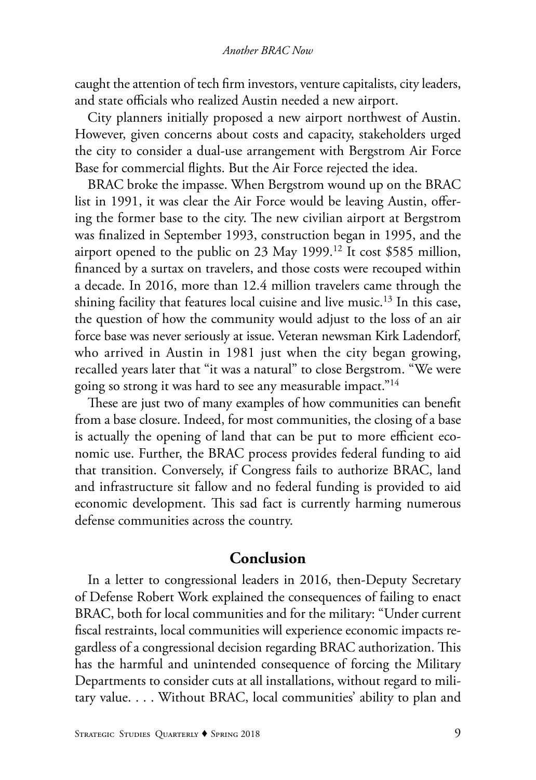caught the attention of tech firm investors, venture capitalists, city leaders, and state officials who realized Austin needed a new airport.

City planners initially proposed a new airport northwest of Austin. However, given concerns about costs and capacity, stakeholders urged the city to consider a dual-use arrangement with Bergstrom Air Force Base for commercial flights. But the Air Force rejected the idea.

BRAC broke the impasse. When Bergstrom wound up on the BRAC list in 1991, it was clear the Air Force would be leaving Austin, offering the former base to the city. The new civilian airport at Bergstrom was finalized in September 1993, construction began in 1995, and the airport opened to the public on 23 May 1999.12 It cost \$585 million, financed by a surtax on travelers, and those costs were recouped within a decade. In 2016, more than 12.4 million travelers came through the shining facility that features local cuisine and live music.<sup>13</sup> In this case, the question of how the community would adjust to the loss of an air force base was never seriously at issue. Veteran newsman Kirk Ladendorf, who arrived in Austin in 1981 just when the city began growing, recalled years later that "it was a natural" to close Bergstrom. "We were going so strong it was hard to see any measurable impact."14

These are just two of many examples of how communities can benefit from a base closure. Indeed, for most communities, the closing of a base is actually the opening of land that can be put to more efficient economic use. Further, the BRAC process provides federal funding to aid that transition. Conversely, if Congress fails to authorize BRAC, land and infrastructure sit fallow and no federal funding is provided to aid economic development. This sad fact is currently harming numerous defense communities across the country.

#### **Conclusion**

In a letter to congressional leaders in 2016, then-Deputy Secretary of Defense Robert Work explained the consequences of failing to enact BRAC, both for local communities and for the military: "Under current fiscal restraints, local communities will experience economic impacts regardless of a congressional decision regarding BRAC authorization. This has the harmful and unintended consequence of forcing the Military Departments to consider cuts at all installations, without regard to military value. . . . Without BRAC, local communities' ability to plan and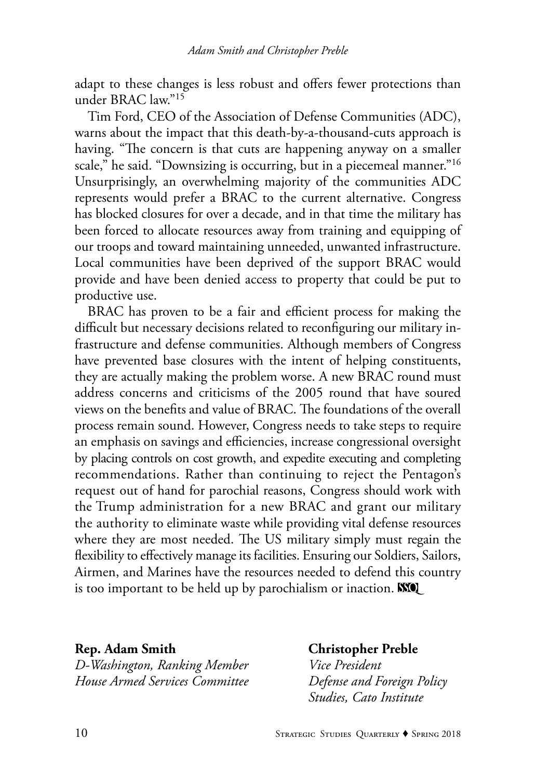adapt to these changes is less robust and offers fewer protections than under BRAC law."15

Tim Ford, CEO of the Association of Defense Communities (ADC), warns about the impact that this death-by-a-thousand-cuts approach is having. "The concern is that cuts are happening anyway on a smaller scale," he said. "Downsizing is occurring, but in a piecemeal manner."<sup>16</sup> Unsurprisingly, an overwhelming majority of the communities ADC represents would prefer a BRAC to the current alternative. Congress has blocked closures for over a decade, and in that time the military has been forced to allocate resources away from training and equipping of our troops and toward maintaining unneeded, unwanted infrastructure. Local communities have been deprived of the support BRAC would provide and have been denied access to property that could be put to productive use.

BRAC has proven to be a fair and efficient process for making the difficult but necessary decisions related to reconfiguring our military infrastructure and defense communities. Although members of Congress have prevented base closures with the intent of helping constituents, they are actually making the problem worse. A new BRAC round must address concerns and criticisms of the 2005 round that have soured views on the benefits and value of BRAC. The foundations of the overall process remain sound. However, Congress needs to take steps to require an emphasis on savings and efficiencies, increase congressional oversight by placing controls on cost growth, and expedite executing and completing recommendations. Rather than continuing to reject the Pentagon's request out of hand for parochial reasons, Congress should work with the Trump administration for a new BRAC and grant our military the authority to eliminate waste while providing vital defense resources where they are most needed. The US military simply must regain the flexibility to effectively manage its facilities. Ensuring our Soldiers, Sailors, Airmen, and Marines have the resources needed to defend this country is too important to be held up by parochialism or inaction. **NO** 

#### **Rep. Adam Smith Christopher Preble** *D-Washington, Ranking Member Vice President House Armed Services Committee Defense and Foreign Policy*

 *Studies, Cato Institute*